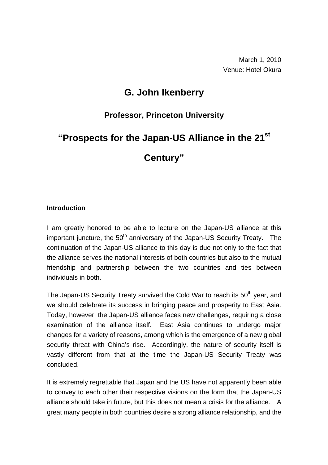## **G. John Ikenberry**

### **Professor, Princeton University**

# **"Prospects for the Japan-US Alliance in the 21st Century"**

#### **Introduction**

I am greatly honored to be able to lecture on the Japan-US alliance at this important juncture, the  $50<sup>th</sup>$  anniversary of the Japan-US Security Treaty. The continuation of the Japan-US alliance to this day is due not only to the fact that the alliance serves the national interests of both countries but also to the mutual friendship and partnership between the two countries and ties between individuals in both.

The Japan-US Security Treaty survived the Cold War to reach its 50<sup>th</sup> year, and we should celebrate its success in bringing peace and prosperity to East Asia. Today, however, the Japan-US alliance faces new challenges, requiring a close examination of the alliance itself. East Asia continues to undergo major changes for a variety of reasons, among which is the emergence of a new global security threat with China's rise. Accordingly, the nature of security itself is vastly different from that at the time the Japan-US Security Treaty was concluded.

It is extremely regrettable that Japan and the US have not apparently been able to convey to each other their respective visions on the form that the Japan-US alliance should take in future, but this does not mean a crisis for the alliance. A great many people in both countries desire a strong alliance relationship, and the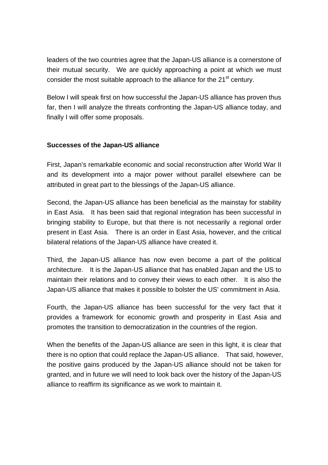leaders of the two countries agree that the Japan-US alliance is a cornerstone of their mutual security. We are quickly approaching a point at which we must consider the most suitable approach to the alliance for the 21<sup>st</sup> century.

Below I will speak first on how successful the Japan-US alliance has proven thus far, then I will analyze the threats confronting the Japan-US alliance today, and finally I will offer some proposals.

#### **Successes of the Japan-US alliance**

First, Japan's remarkable economic and social reconstruction after World War II and its development into a major power without parallel elsewhere can be attributed in great part to the blessings of the Japan-US alliance.

Second, the Japan-US alliance has been beneficial as the mainstay for stability in East Asia. It has been said that regional integration has been successful in bringing stability to Europe, but that there is not necessarily a regional order present in East Asia. There is an order in East Asia, however, and the critical bilateral relations of the Japan-US alliance have created it.

Third, the Japan-US alliance has now even become a part of the political architecture. It is the Japan-US alliance that has enabled Japan and the US to maintain their relations and to convey their views to each other. It is also the Japan-US alliance that makes it possible to bolster the US' commitment in Asia.

Fourth, the Japan-US alliance has been successful for the very fact that it provides a framework for economic growth and prosperity in East Asia and promotes the transition to democratization in the countries of the region.

When the benefits of the Japan-US alliance are seen in this light, it is clear that there is no option that could replace the Japan-US alliance. That said, however, the positive gains produced by the Japan-US alliance should not be taken for granted, and in future we will need to look back over the history of the Japan-US alliance to reaffirm its significance as we work to maintain it.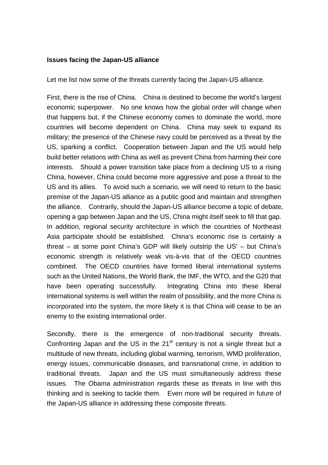#### **Issues facing the Japan-US alliance**

Let me list now some of the threats currently facing the Japan-US alliance.

First, there is the rise of China. China is destined to become the world's largest economic superpower. No one knows how the global order will change when that happens but, if the Chinese economy comes to dominate the world, more countries will become dependent on China. China may seek to expand its military; the presence of the Chinese navy could be perceived as a threat by the US, sparking a conflict. Cooperation between Japan and the US would help build better relations with China as well as prevent China from harming their core interests. Should a power transition take place from a declining US to a rising China, however, China could become more aggressive and pose a threat to the US and its allies. To avoid such a scenario, we will need to return to the basic premise of the Japan-US alliance as a public good and maintain and strengthen the alliance. Contrarily, should the Japan-US alliance become a topic of debate, opening a gap between Japan and the US, China might itself seek to fill that gap. In addition, regional security architecture in which the countries of Northeast Asia participate should be established. China's economic rise is certainly a threat – at some point China's GDP will likely outstrip the US' – but China's economic strength is relatively weak vis-à-vis that of the OECD countries combined. The OECD countries have formed liberal international systems such as the United Nations, the World Bank, the IMF, the WTO, and the G20 that have been operating successfully. Integrating China into these liberal international systems is well within the realm of possibility, and the more China is incorporated into the system, the more likely it is that China will cease to be an enemy to the existing international order.

Secondly, there is the emergence of non-traditional security threats. Confronting Japan and the US in the  $21<sup>st</sup>$  century is not a single threat but a multitude of new threats, including global warming, terrorism, WMD proliferation, energy issues, communicable diseases, and transnational crime, in addition to traditional threats. Japan and the US must simultaneously address these issues. The Obama administration regards these as threats in line with this thinking and is seeking to tackle them. Even more will be required in future of the Japan-US alliance in addressing these composite threats.